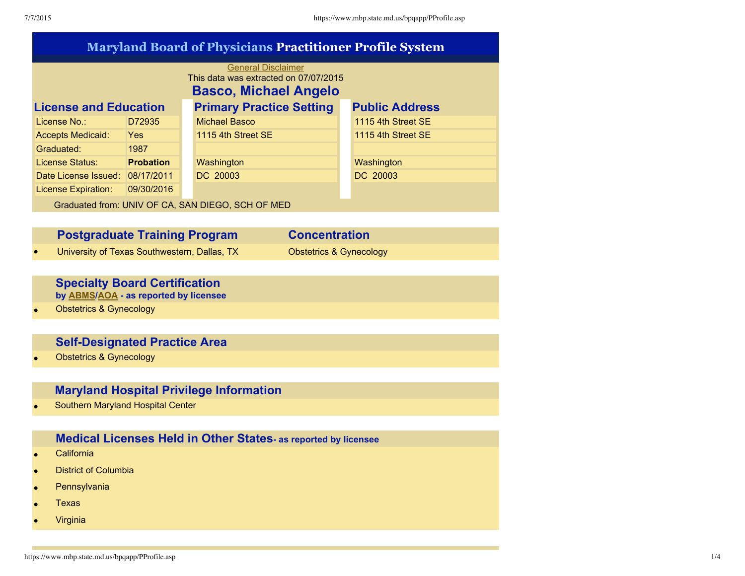| <b>Maryland Board of Physicians Practitioner Profile System</b>                                    |                  |  |                                 |  |                       |  |  |  |
|----------------------------------------------------------------------------------------------------|------------------|--|---------------------------------|--|-----------------------|--|--|--|
| <b>General Disclaimer</b><br>This data was extracted on 07/07/2015<br><b>Basco, Michael Angelo</b> |                  |  |                                 |  |                       |  |  |  |
| <b>License and Education</b>                                                                       |                  |  | <b>Primary Practice Setting</b> |  | <b>Public Address</b> |  |  |  |
| License No.:                                                                                       | D72935           |  | <b>Michael Basco</b>            |  | 1115 4th Street SE    |  |  |  |
| <b>Accepts Medicaid:</b>                                                                           | <b>Yes</b>       |  | 1115 4th Street SE              |  | 1115 4th Street SE    |  |  |  |
| Graduated:                                                                                         | 1987             |  |                                 |  |                       |  |  |  |
| License Status:                                                                                    | <b>Probation</b> |  | Washington                      |  | Washington            |  |  |  |
| Date License Issued: 08/17/2011                                                                    |                  |  | DC 20003                        |  | DC 20003              |  |  |  |
| <b>License Expiration:</b>                                                                         | 09/30/2016       |  |                                 |  |                       |  |  |  |
| Graduated from: UNIV OF CA, SAN DIEGO, SCH OF MED                                                  |                  |  |                                 |  |                       |  |  |  |

| <b>Postgraduate Training Program</b>         | <b>Concentration</b>               |
|----------------------------------------------|------------------------------------|
| University of Texas Southwestern, Dallas, TX | <b>Obstetrics &amp; Gynecology</b> |

# **Specialty Board Certification**

**by [ABMS/](javascript:jfOpen("http://www.abms.org/"))[AOA](javascript:jfOpen("http://www.AOA-net.org/")) as reported by licensee**

• Obstetrics & Gynecology

# **Self-Designated Practice Area**

• Obstetrics & Gynecology

# **Maryland Hospital Privilege Information**

• Southern Maryland Hospital Center

# **Medical Licenses Held in Other States as reported by licensee**

- California
- District of Columbia
- Pennsylvania
- Texas
- Virginia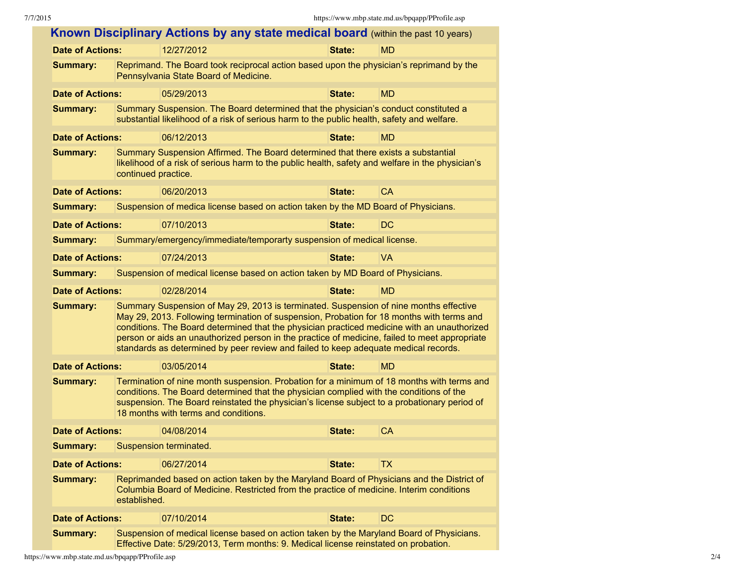|                                                                                                                                                                                                                                                                                                                                                 |                                                                                                                                                                                                                                                                                                                                                                                                                                                                           | Known Disciplinary Actions by any state medical board (within the past 10 years)                                                                                                      |        |           |  |  |  |
|-------------------------------------------------------------------------------------------------------------------------------------------------------------------------------------------------------------------------------------------------------------------------------------------------------------------------------------------------|---------------------------------------------------------------------------------------------------------------------------------------------------------------------------------------------------------------------------------------------------------------------------------------------------------------------------------------------------------------------------------------------------------------------------------------------------------------------------|---------------------------------------------------------------------------------------------------------------------------------------------------------------------------------------|--------|-----------|--|--|--|
| <b>Date of Actions:</b>                                                                                                                                                                                                                                                                                                                         |                                                                                                                                                                                                                                                                                                                                                                                                                                                                           | 12/27/2012                                                                                                                                                                            | State: | <b>MD</b> |  |  |  |
| <b>Summary:</b>                                                                                                                                                                                                                                                                                                                                 | Reprimand. The Board took reciprocal action based upon the physician's reprimand by the<br>Pennsylvania State Board of Medicine.                                                                                                                                                                                                                                                                                                                                          |                                                                                                                                                                                       |        |           |  |  |  |
| <b>Date of Actions:</b>                                                                                                                                                                                                                                                                                                                         |                                                                                                                                                                                                                                                                                                                                                                                                                                                                           | 05/29/2013                                                                                                                                                                            | State: | <b>MD</b> |  |  |  |
| <b>Summary:</b>                                                                                                                                                                                                                                                                                                                                 |                                                                                                                                                                                                                                                                                                                                                                                                                                                                           | Summary Suspension. The Board determined that the physician's conduct constituted a<br>substantial likelihood of a risk of serious harm to the public health, safety and welfare.     |        |           |  |  |  |
| <b>Date of Actions:</b>                                                                                                                                                                                                                                                                                                                         |                                                                                                                                                                                                                                                                                                                                                                                                                                                                           | 06/12/2013                                                                                                                                                                            | State: | <b>MD</b> |  |  |  |
| <b>Summary:</b>                                                                                                                                                                                                                                                                                                                                 | continued practice.                                                                                                                                                                                                                                                                                                                                                                                                                                                       | Summary Suspension Affirmed. The Board determined that there exists a substantial<br>likelihood of a risk of serious harm to the public health, safety and welfare in the physician's |        |           |  |  |  |
| <b>Date of Actions:</b>                                                                                                                                                                                                                                                                                                                         |                                                                                                                                                                                                                                                                                                                                                                                                                                                                           | 06/20/2013                                                                                                                                                                            | State: | <b>CA</b> |  |  |  |
| <b>Summary:</b>                                                                                                                                                                                                                                                                                                                                 |                                                                                                                                                                                                                                                                                                                                                                                                                                                                           | Suspension of medica license based on action taken by the MD Board of Physicians.                                                                                                     |        |           |  |  |  |
| <b>Date of Actions:</b>                                                                                                                                                                                                                                                                                                                         |                                                                                                                                                                                                                                                                                                                                                                                                                                                                           | 07/10/2013                                                                                                                                                                            | State: | <b>DC</b> |  |  |  |
| <b>Summary:</b>                                                                                                                                                                                                                                                                                                                                 |                                                                                                                                                                                                                                                                                                                                                                                                                                                                           | Summary/emergency/immediate/temporarty suspension of medical license.                                                                                                                 |        |           |  |  |  |
| <b>Date of Actions:</b>                                                                                                                                                                                                                                                                                                                         |                                                                                                                                                                                                                                                                                                                                                                                                                                                                           | 07/24/2013                                                                                                                                                                            | State: | <b>VA</b> |  |  |  |
| <b>Summary:</b>                                                                                                                                                                                                                                                                                                                                 |                                                                                                                                                                                                                                                                                                                                                                                                                                                                           | Suspension of medical license based on action taken by MD Board of Physicians.                                                                                                        |        |           |  |  |  |
| <b>Date of Actions:</b>                                                                                                                                                                                                                                                                                                                         |                                                                                                                                                                                                                                                                                                                                                                                                                                                                           | 02/28/2014                                                                                                                                                                            | State: | <b>MD</b> |  |  |  |
| <b>Summary:</b>                                                                                                                                                                                                                                                                                                                                 | Summary Suspension of May 29, 2013 is terminated. Suspension of nine months effective<br>May 29, 2013. Following termination of suspension, Probation for 18 months with terms and<br>conditions. The Board determined that the physician practiced medicine with an unauthorized<br>person or aids an unauthorized person in the practice of medicine, failed to meet appropriate<br>standards as determined by peer review and failed to keep adequate medical records. |                                                                                                                                                                                       |        |           |  |  |  |
| <b>Date of Actions:</b>                                                                                                                                                                                                                                                                                                                         |                                                                                                                                                                                                                                                                                                                                                                                                                                                                           | 03/05/2014                                                                                                                                                                            | State: | <b>MD</b> |  |  |  |
| Termination of nine month suspension. Probation for a minimum of 18 months with terms and<br><b>Summary:</b><br>conditions. The Board determined that the physician complied with the conditions of the<br>suspension. The Board reinstated the physician's license subject to a probationary period of<br>18 months with terms and conditions. |                                                                                                                                                                                                                                                                                                                                                                                                                                                                           |                                                                                                                                                                                       |        |           |  |  |  |
| <b>Date of Actions:</b>                                                                                                                                                                                                                                                                                                                         |                                                                                                                                                                                                                                                                                                                                                                                                                                                                           | 04/08/2014                                                                                                                                                                            | State: | <b>CA</b> |  |  |  |
| <b>Summary:</b>                                                                                                                                                                                                                                                                                                                                 |                                                                                                                                                                                                                                                                                                                                                                                                                                                                           | Suspension terminated.                                                                                                                                                                |        |           |  |  |  |
| <b>Date of Actions:</b>                                                                                                                                                                                                                                                                                                                         |                                                                                                                                                                                                                                                                                                                                                                                                                                                                           | 06/27/2014                                                                                                                                                                            | State: | <b>TX</b> |  |  |  |
| Reprimanded based on action taken by the Maryland Board of Physicians and the District of<br><b>Summary:</b><br>Columbia Board of Medicine. Restricted from the practice of medicine. Interim conditions<br>established.                                                                                                                        |                                                                                                                                                                                                                                                                                                                                                                                                                                                                           |                                                                                                                                                                                       |        |           |  |  |  |
| <b>Date of Actions:</b>                                                                                                                                                                                                                                                                                                                         |                                                                                                                                                                                                                                                                                                                                                                                                                                                                           | 07/10/2014                                                                                                                                                                            | State: | DC        |  |  |  |
| <b>Summary:</b>                                                                                                                                                                                                                                                                                                                                 | Suspension of medical license based on action taken by the Maryland Board of Physicians.<br>Effective Date: 5/29/2013, Term months: 9. Medical license reinstated on probation.                                                                                                                                                                                                                                                                                           |                                                                                                                                                                                       |        |           |  |  |  |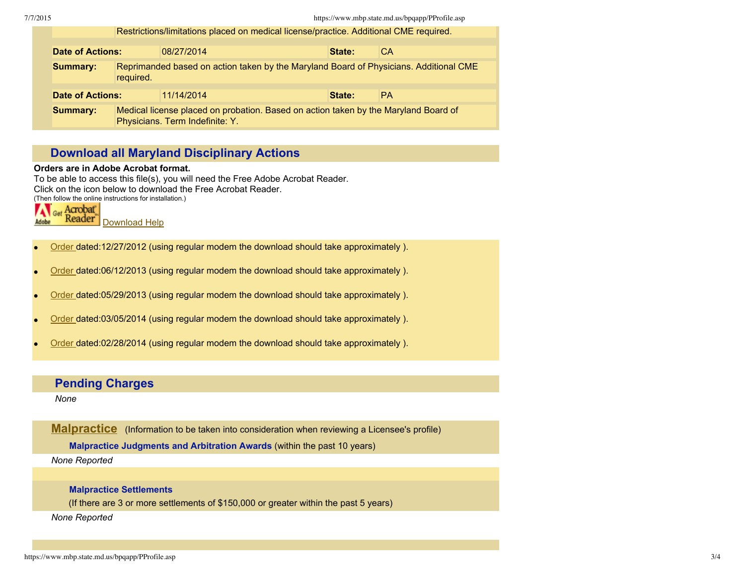| Restrictions/limitations placed on medical license/practice. Additional CME required. |                                                                                                                        |                      |  |           |  |  |  |  |
|---------------------------------------------------------------------------------------|------------------------------------------------------------------------------------------------------------------------|----------------------|--|-----------|--|--|--|--|
|                                                                                       |                                                                                                                        |                      |  |           |  |  |  |  |
| <b>Date of Actions:</b>                                                               |                                                                                                                        | 08/27/2014<br>State: |  | СA        |  |  |  |  |
| <b>Summary:</b>                                                                       | Reprimanded based on action taken by the Maryland Board of Physicians. Additional CME<br>required.                     |                      |  |           |  |  |  |  |
| <b>Date of Actions:</b>                                                               |                                                                                                                        | 11/14/2014<br>State: |  | <b>PA</b> |  |  |  |  |
|                                                                                       |                                                                                                                        |                      |  |           |  |  |  |  |
| <b>Summary:</b>                                                                       | Medical license placed on probation. Based on action taken by the Maryland Board of<br>Physicians. Term Indefinite: Y. |                      |  |           |  |  |  |  |

# **Download all Maryland Disciplinary Actions**

#### **Orders are in Adobe Acrobat format.**

To be able to access this file(s), you will need the Free Adobe Acrobat Reader. Click on the icon below to download the Free Acrobat Reader. (Then follow the online instructions for installation.)

Get Acrobat Reader<sup>®</sup> Adobe [Download](javascript:jfOpen("http://www.adobe.com/products/reader.html")) Help

- [Order](https://www.mbp.state.md.us/bpqapp/Orders/D7293512.272.PDF) dated:12/27/2012 (using regular modem the download should take approximately ).
- [Order](https://www.mbp.state.md.us/bpqapp/Orders/D7293506.123.PDF) dated:06/12/2013 (using regular modem the download should take approximately ).
- [Order](https://www.mbp.state.md.us/bpqapp/Orders/D7293505.293.PDF) dated:05/29/2013 (using regular modem the download should take approximately ).
- [Order](https://www.mbp.state.md.us/bpqapp/Orders/D7293503.054.PDF) dated:03/05/2014 (using regular modem the download should take approximately ).
- [Order](https://www.mbp.state.md.us/bpqapp/Orders/D7293502.284.PDF) dated:02/28/2014 (using regular modem the download should take approximately ).

## **Pending Charges**

*None*

**[Malpractice](https://www.mbp.state.md.us/bpqapp/Malpractice.asp)** (Information to be taken into consideration when reviewing a Licensee's profile)

**Malpractice Judgments and Arbitration Awards** (within the past 10 years)

*None Reported*

### **Malpractice Settlements**

(If there are 3 or more settlements of \$150,000 or greater within the past 5 years)

*None Reported*